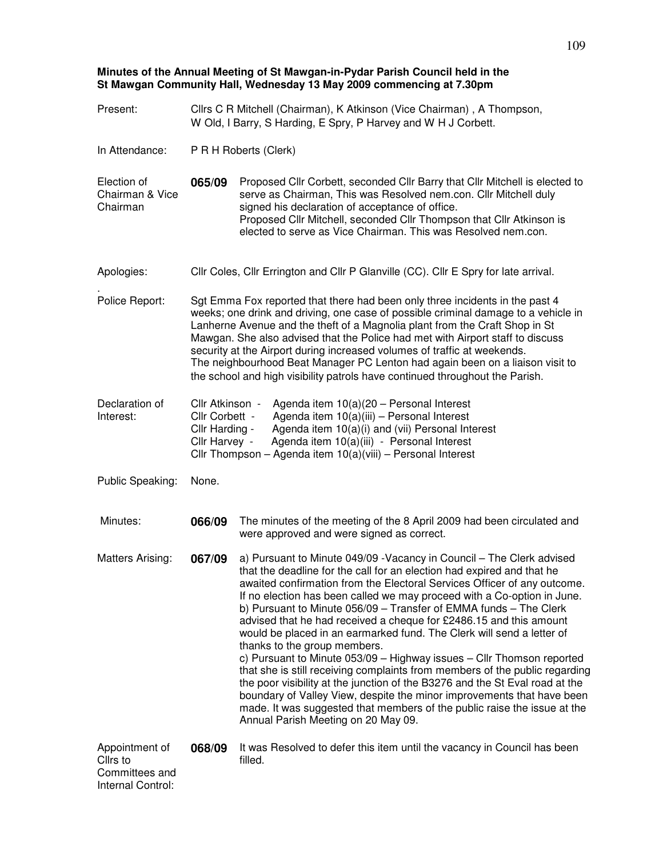## **Minutes of the Annual Meeting of St Mawgan-in-Pydar Parish Council held in the St Mawgan Community Hall, Wednesday 13 May 2009 commencing at 7.30pm**

| Present:                                                          | Cllrs C R Mitchell (Chairman), K Atkinson (Vice Chairman), A Thompson,<br>W Old, I Barry, S Harding, E Spry, P Harvey and W H J Corbett.                                                                                                                                                                                                                                                                                                                                                                                                                                         |                                                                                                                                                                                                                                                                                                                                                                                                                                                                                                                                                                                                                                                                                                                                                                                                                                                                                                                                                                                                 |  |  |  |
|-------------------------------------------------------------------|----------------------------------------------------------------------------------------------------------------------------------------------------------------------------------------------------------------------------------------------------------------------------------------------------------------------------------------------------------------------------------------------------------------------------------------------------------------------------------------------------------------------------------------------------------------------------------|-------------------------------------------------------------------------------------------------------------------------------------------------------------------------------------------------------------------------------------------------------------------------------------------------------------------------------------------------------------------------------------------------------------------------------------------------------------------------------------------------------------------------------------------------------------------------------------------------------------------------------------------------------------------------------------------------------------------------------------------------------------------------------------------------------------------------------------------------------------------------------------------------------------------------------------------------------------------------------------------------|--|--|--|
| In Attendance:                                                    | P R H Roberts (Clerk)                                                                                                                                                                                                                                                                                                                                                                                                                                                                                                                                                            |                                                                                                                                                                                                                                                                                                                                                                                                                                                                                                                                                                                                                                                                                                                                                                                                                                                                                                                                                                                                 |  |  |  |
| Election of<br>Chairman & Vice<br>Chairman                        | 065/09                                                                                                                                                                                                                                                                                                                                                                                                                                                                                                                                                                           | Proposed Cllr Corbett, seconded Cllr Barry that Cllr Mitchell is elected to<br>serve as Chairman, This was Resolved nem.con. Cllr Mitchell duly<br>signed his declaration of acceptance of office.<br>Proposed Cllr Mitchell, seconded Cllr Thompson that Cllr Atkinson is<br>elected to serve as Vice Chairman. This was Resolved nem.con.                                                                                                                                                                                                                                                                                                                                                                                                                                                                                                                                                                                                                                                     |  |  |  |
| Apologies:                                                        | Cllr Coles, Cllr Errington and Cllr P Glanville (CC). Cllr E Spry for late arrival.                                                                                                                                                                                                                                                                                                                                                                                                                                                                                              |                                                                                                                                                                                                                                                                                                                                                                                                                                                                                                                                                                                                                                                                                                                                                                                                                                                                                                                                                                                                 |  |  |  |
| Police Report:                                                    | Sgt Emma Fox reported that there had been only three incidents in the past 4<br>weeks; one drink and driving, one case of possible criminal damage to a vehicle in<br>Lanherne Avenue and the theft of a Magnolia plant from the Craft Shop in St<br>Mawgan. She also advised that the Police had met with Airport staff to discuss<br>security at the Airport during increased volumes of traffic at weekends.<br>The neighbourhood Beat Manager PC Lenton had again been on a liaison visit to<br>the school and high visibility patrols have continued throughout the Parish. |                                                                                                                                                                                                                                                                                                                                                                                                                                                                                                                                                                                                                                                                                                                                                                                                                                                                                                                                                                                                 |  |  |  |
| Declaration of<br>Interest:                                       | Cllr Atkinson -<br>Agenda item $10(a)(20 -$ Personal Interest<br>Agenda item 10(a)(iii) - Personal Interest<br>Cllr Corbett -<br>Cllr Harding -<br>Agenda item 10(a)(i) and (vii) Personal Interest<br>Agenda item 10(a)(iii) - Personal Interest<br>Cllr Harvey -<br>Cllr Thompson - Agenda item 10(a)(viii) - Personal Interest                                                                                                                                                                                                                                                |                                                                                                                                                                                                                                                                                                                                                                                                                                                                                                                                                                                                                                                                                                                                                                                                                                                                                                                                                                                                 |  |  |  |
| Public Speaking:                                                  | None.                                                                                                                                                                                                                                                                                                                                                                                                                                                                                                                                                                            |                                                                                                                                                                                                                                                                                                                                                                                                                                                                                                                                                                                                                                                                                                                                                                                                                                                                                                                                                                                                 |  |  |  |
| Minutes:                                                          | 066/09                                                                                                                                                                                                                                                                                                                                                                                                                                                                                                                                                                           | The minutes of the meeting of the 8 April 2009 had been circulated and<br>were approved and were signed as correct.                                                                                                                                                                                                                                                                                                                                                                                                                                                                                                                                                                                                                                                                                                                                                                                                                                                                             |  |  |  |
| Matters Arising:                                                  | 067/09                                                                                                                                                                                                                                                                                                                                                                                                                                                                                                                                                                           | a) Pursuant to Minute 049/09 - Vacancy in Council - The Clerk advised<br>that the deadline for the call for an election had expired and that he<br>awaited confirmation from the Electoral Services Officer of any outcome.<br>If no election has been called we may proceed with a Co-option in June.<br>b) Pursuant to Minute 056/09 - Transfer of EMMA funds - The Clerk<br>advised that he had received a cheque for £2486.15 and this amount<br>would be placed in an earmarked fund. The Clerk will send a letter of<br>thanks to the group members.<br>c) Pursuant to Minute 053/09 - Highway issues - Cllr Thomson reported<br>that she is still receiving complaints from members of the public regarding<br>the poor visibility at the junction of the B3276 and the St Eval road at the<br>boundary of Valley View, despite the minor improvements that have been<br>made. It was suggested that members of the public raise the issue at the<br>Annual Parish Meeting on 20 May 09. |  |  |  |
| Appointment of<br>Cllrs to<br>Committees and<br>Internal Control: | 068/09                                                                                                                                                                                                                                                                                                                                                                                                                                                                                                                                                                           | It was Resolved to defer this item until the vacancy in Council has been<br>filled.                                                                                                                                                                                                                                                                                                                                                                                                                                                                                                                                                                                                                                                                                                                                                                                                                                                                                                             |  |  |  |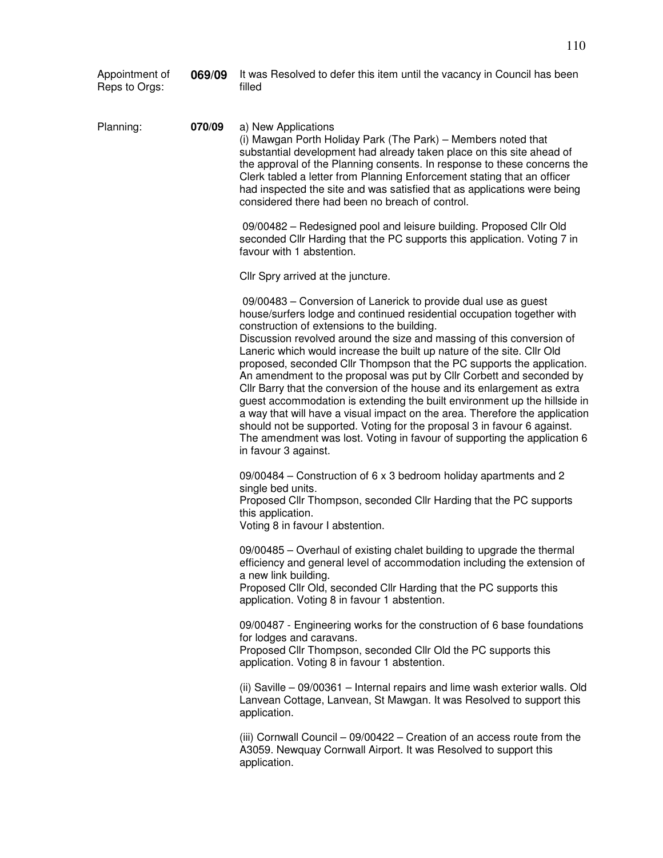| Appointment of<br>Reps to Orgs: | 069/09 | It was Resolved to defer this item until the vacancy in Council has been<br>filled                                                                                                                                                                                                                                                                                                                                                                                                                                                                                                                                                                                                                                                                                                                                                                                                                                  |  |  |
|---------------------------------|--------|---------------------------------------------------------------------------------------------------------------------------------------------------------------------------------------------------------------------------------------------------------------------------------------------------------------------------------------------------------------------------------------------------------------------------------------------------------------------------------------------------------------------------------------------------------------------------------------------------------------------------------------------------------------------------------------------------------------------------------------------------------------------------------------------------------------------------------------------------------------------------------------------------------------------|--|--|
| Planning:                       | 070/09 | a) New Applications<br>(i) Mawgan Porth Holiday Park (The Park) - Members noted that<br>substantial development had already taken place on this site ahead of<br>the approval of the Planning consents. In response to these concerns the<br>Clerk tabled a letter from Planning Enforcement stating that an officer<br>had inspected the site and was satisfied that as applications were being<br>considered there had been no breach of control.                                                                                                                                                                                                                                                                                                                                                                                                                                                                 |  |  |
|                                 |        | 09/00482 - Redesigned pool and leisure building. Proposed Cllr Old<br>seconded Cllr Harding that the PC supports this application. Voting 7 in<br>favour with 1 abstention.                                                                                                                                                                                                                                                                                                                                                                                                                                                                                                                                                                                                                                                                                                                                         |  |  |
|                                 |        | Cllr Spry arrived at the juncture.                                                                                                                                                                                                                                                                                                                                                                                                                                                                                                                                                                                                                                                                                                                                                                                                                                                                                  |  |  |
|                                 |        | 09/00483 – Conversion of Lanerick to provide dual use as guest<br>house/surfers lodge and continued residential occupation together with<br>construction of extensions to the building.<br>Discussion revolved around the size and massing of this conversion of<br>Laneric which would increase the built up nature of the site. Cllr Old<br>proposed, seconded Cllr Thompson that the PC supports the application.<br>An amendment to the proposal was put by Cllr Corbett and seconded by<br>Cllr Barry that the conversion of the house and its enlargement as extra<br>guest accommodation is extending the built environment up the hillside in<br>a way that will have a visual impact on the area. Therefore the application<br>should not be supported. Voting for the proposal 3 in favour 6 against.<br>The amendment was lost. Voting in favour of supporting the application 6<br>in favour 3 against. |  |  |
|                                 |        | 09/00484 – Construction of 6 x 3 bedroom holiday apartments and 2<br>single bed units.<br>Proposed Cllr Thompson, seconded Cllr Harding that the PC supports<br>this application.<br>Voting 8 in favour I abstention.                                                                                                                                                                                                                                                                                                                                                                                                                                                                                                                                                                                                                                                                                               |  |  |
|                                 |        | 09/00485 - Overhaul of existing chalet building to upgrade the thermal<br>efficiency and general level of accommodation including the extension of<br>a new link building.<br>Proposed Cllr Old, seconded Cllr Harding that the PC supports this<br>application. Voting 8 in favour 1 abstention.                                                                                                                                                                                                                                                                                                                                                                                                                                                                                                                                                                                                                   |  |  |
|                                 |        | 09/00487 - Engineering works for the construction of 6 base foundations<br>for lodges and caravans.<br>Proposed Cllr Thompson, seconded Cllr Old the PC supports this<br>application. Voting 8 in favour 1 abstention.                                                                                                                                                                                                                                                                                                                                                                                                                                                                                                                                                                                                                                                                                              |  |  |
|                                 |        | (ii) Saville - 09/00361 - Internal repairs and lime wash exterior walls. Old<br>Lanvean Cottage, Lanvean, St Mawgan. It was Resolved to support this<br>application.                                                                                                                                                                                                                                                                                                                                                                                                                                                                                                                                                                                                                                                                                                                                                |  |  |
|                                 |        | (iii) Cornwall Council - 09/00422 - Creation of an access route from the<br>A3059. Newquay Cornwall Airport. It was Resolved to support this<br>application.                                                                                                                                                                                                                                                                                                                                                                                                                                                                                                                                                                                                                                                                                                                                                        |  |  |
|                                 |        |                                                                                                                                                                                                                                                                                                                                                                                                                                                                                                                                                                                                                                                                                                                                                                                                                                                                                                                     |  |  |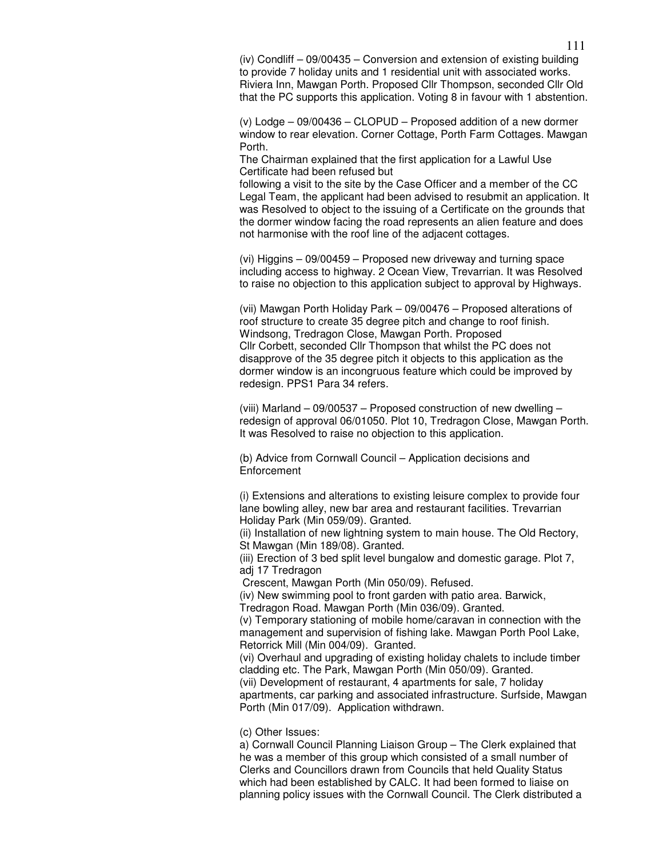(iv) Condliff – 09/00435 – Conversion and extension of existing building to provide 7 holiday units and 1 residential unit with associated works. Riviera Inn, Mawgan Porth. Proposed Cllr Thompson, seconded Cllr Old that the PC supports this application. Voting 8 in favour with 1 abstention.

(v) Lodge – 09/00436 – CLOPUD – Proposed addition of a new dormer window to rear elevation. Corner Cottage, Porth Farm Cottages. Mawgan Porth.

The Chairman explained that the first application for a Lawful Use Certificate had been refused but

following a visit to the site by the Case Officer and a member of the CC Legal Team, the applicant had been advised to resubmit an application. It was Resolved to object to the issuing of a Certificate on the grounds that the dormer window facing the road represents an alien feature and does not harmonise with the roof line of the adjacent cottages.

(vi) Higgins – 09/00459 – Proposed new driveway and turning space including access to highway. 2 Ocean View, Trevarrian. It was Resolved to raise no objection to this application subject to approval by Highways.

(vii) Mawgan Porth Holiday Park – 09/00476 – Proposed alterations of roof structure to create 35 degree pitch and change to roof finish. Windsong, Tredragon Close, Mawgan Porth. Proposed Cllr Corbett, seconded Cllr Thompson that whilst the PC does not disapprove of the 35 degree pitch it objects to this application as the dormer window is an incongruous feature which could be improved by redesign. PPS1 Para 34 refers.

(viii) Marland – 09/00537 – Proposed construction of new dwelling – redesign of approval 06/01050. Plot 10, Tredragon Close, Mawgan Porth. It was Resolved to raise no objection to this application.

(b) Advice from Cornwall Council – Application decisions and **Enforcement** 

(i) Extensions and alterations to existing leisure complex to provide four lane bowling alley, new bar area and restaurant facilities. Trevarrian Holiday Park (Min 059/09). Granted.

(ii) Installation of new lightning system to main house. The Old Rectory, St Mawgan (Min 189/08). Granted.

(iii) Erection of 3 bed split level bungalow and domestic garage. Plot 7, adj 17 Tredragon

Crescent, Mawgan Porth (Min 050/09). Refused.

(iv) New swimming pool to front garden with patio area. Barwick,

Tredragon Road. Mawgan Porth (Min 036/09). Granted.

(v) Temporary stationing of mobile home/caravan in connection with the management and supervision of fishing lake. Mawgan Porth Pool Lake, Retorrick Mill (Min 004/09). Granted.

(vi) Overhaul and upgrading of existing holiday chalets to include timber cladding etc. The Park, Mawgan Porth (Min 050/09). Granted. (vii) Development of restaurant, 4 apartments for sale, 7 holiday

apartments, car parking and associated infrastructure. Surfside, Mawgan Porth (Min 017/09). Application withdrawn.

(c) Other Issues:

a) Cornwall Council Planning Liaison Group – The Clerk explained that he was a member of this group which consisted of a small number of Clerks and Councillors drawn from Councils that held Quality Status which had been established by CALC. It had been formed to liaise on planning policy issues with the Cornwall Council. The Clerk distributed a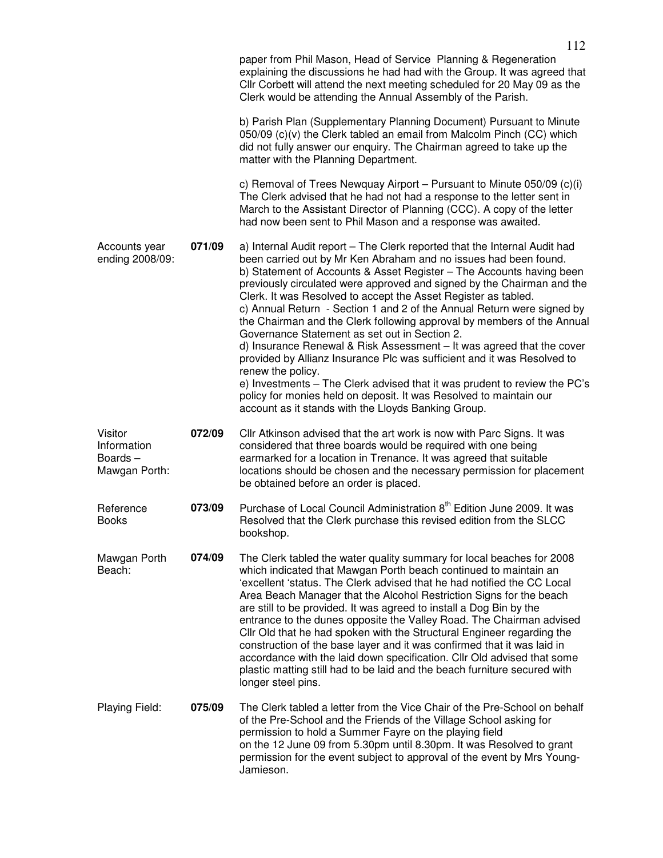|                                                    |        | paper from Phil Mason, Head of Service Planning & Regeneration<br>explaining the discussions he had had with the Group. It was agreed that<br>Cllr Corbett will attend the next meeting scheduled for 20 May 09 as the<br>Clerk would be attending the Annual Assembly of the Parish.<br>b) Parish Plan (Supplementary Planning Document) Pursuant to Minute<br>050/09 (c)(v) the Clerk tabled an email from Malcolm Pinch (CC) which<br>did not fully answer our enquiry. The Chairman agreed to take up the<br>matter with the Planning Department.<br>c) Removal of Trees Newquay Airport – Pursuant to Minute $050/09$ (c)(i)                                                                                                                                                                                                                                                                                                                         |  |
|----------------------------------------------------|--------|-----------------------------------------------------------------------------------------------------------------------------------------------------------------------------------------------------------------------------------------------------------------------------------------------------------------------------------------------------------------------------------------------------------------------------------------------------------------------------------------------------------------------------------------------------------------------------------------------------------------------------------------------------------------------------------------------------------------------------------------------------------------------------------------------------------------------------------------------------------------------------------------------------------------------------------------------------------|--|
|                                                    |        | The Clerk advised that he had not had a response to the letter sent in<br>March to the Assistant Director of Planning (CCC). A copy of the letter<br>had now been sent to Phil Mason and a response was awaited.                                                                                                                                                                                                                                                                                                                                                                                                                                                                                                                                                                                                                                                                                                                                          |  |
| 071/09<br>Accounts year<br>ending 2008/09:         |        | a) Internal Audit report - The Clerk reported that the Internal Audit had<br>been carried out by Mr Ken Abraham and no issues had been found.<br>b) Statement of Accounts & Asset Register - The Accounts having been<br>previously circulated were approved and signed by the Chairman and the<br>Clerk. It was Resolved to accept the Asset Register as tabled.<br>c) Annual Return - Section 1 and 2 of the Annual Return were signed by<br>the Chairman and the Clerk following approval by members of the Annual<br>Governance Statement as set out in Section 2.<br>d) Insurance Renewal & Risk Assessment - It was agreed that the cover<br>provided by Allianz Insurance Plc was sufficient and it was Resolved to<br>renew the policy.<br>e) Investments – The Clerk advised that it was prudent to review the PC's<br>policy for monies held on deposit. It was Resolved to maintain our<br>account as it stands with the Lloyds Banking Group. |  |
| Visitor<br>Information<br>Boards-<br>Mawgan Porth: | 072/09 | Cllr Atkinson advised that the art work is now with Parc Signs. It was<br>considered that three boards would be required with one being<br>earmarked for a location in Trenance. It was agreed that suitable<br>locations should be chosen and the necessary permission for placement<br>be obtained before an order is placed.                                                                                                                                                                                                                                                                                                                                                                                                                                                                                                                                                                                                                           |  |
| Reference<br><b>Books</b>                          | 073/09 | Purchase of Local Council Administration 8 <sup>th</sup> Edition June 2009. It was<br>Resolved that the Clerk purchase this revised edition from the SLCC<br>bookshop.                                                                                                                                                                                                                                                                                                                                                                                                                                                                                                                                                                                                                                                                                                                                                                                    |  |
| Mawgan Porth<br>Beach:                             | 074/09 | The Clerk tabled the water quality summary for local beaches for 2008<br>which indicated that Mawgan Porth beach continued to maintain an<br>'excellent 'status. The Clerk advised that he had notified the CC Local<br>Area Beach Manager that the Alcohol Restriction Signs for the beach<br>are still to be provided. It was agreed to install a Dog Bin by the<br>entrance to the dunes opposite the Valley Road. The Chairman advised<br>Cllr Old that he had spoken with the Structural Engineer regarding the<br>construction of the base layer and it was confirmed that it was laid in<br>accordance with the laid down specification. Cllr Old advised that some<br>plastic matting still had to be laid and the beach furniture secured with<br>longer steel pins.                                                                                                                                                                             |  |
| Playing Field:                                     | 075/09 | The Clerk tabled a letter from the Vice Chair of the Pre-School on behalf<br>of the Pre-School and the Friends of the Village School asking for<br>permission to hold a Summer Fayre on the playing field<br>on the 12 June 09 from 5.30pm until 8.30pm. It was Resolved to grant<br>permission for the event subject to approval of the event by Mrs Young-<br>Jamieson.                                                                                                                                                                                                                                                                                                                                                                                                                                                                                                                                                                                 |  |